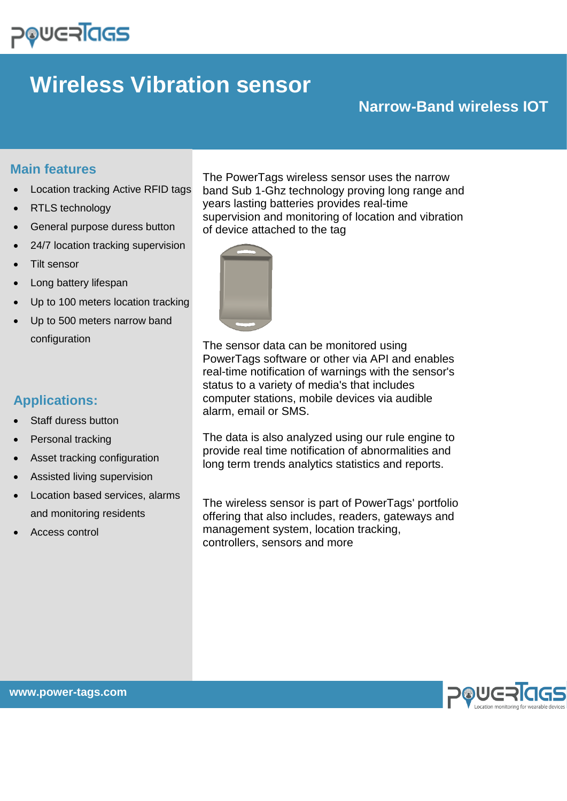# **POUGRIGS**

## **Wireless Vibration sensor**

## **Narrow-Band wireless IOT**

### **Main features**

- Location tracking Active RFID tags
- RTLS technology
- General purpose duress button
- 24/7 location tracking supervision
- Tilt sensor
- Long battery lifespan
- Up to 100 meters location tracking
- Up to 500 meters narrow band configuration

## **Applications:**

- Staff duress button
- Personal tracking
- Asset tracking configuration
- Assisted living supervision
- Location based services, alarms and monitoring residents
- Access control

The PowerTags wireless sensor uses the narrow band Sub 1-Ghz technology proving long range and years lasting batteries provides real-time supervision and monitoring of location and vibration of device attached to the tag



The sensor data can be monitored using PowerTags software or other via API and enables real-time notification of warnings with the sensor's status to a variety of media's that includes computer stations, mobile devices via audible alarm, email or SMS.

The data is also analyzed using our rule engine to provide real time notification of abnormalities and long term trends analytics statistics and reports.

The wireless sensor is part of PowerTags' portfolio offering that also includes, readers, gateways and management system, location tracking, controllers, sensors and more